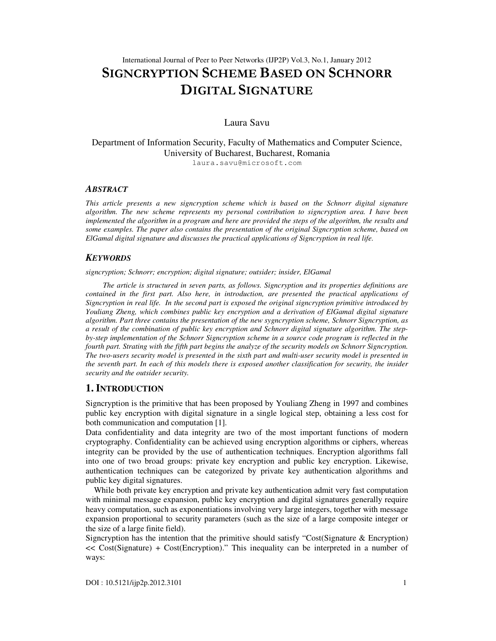# International Journal of Peer to Peer Networks (IJP2P) Vol.3, No.1, January 2012 SIGNCRYPTION SCHEME BASED ON SCHNORR DIGITAL SIGNATURE

### Laura Savu

### Department of Information Security, Faculty of Mathematics and Computer Science, University of Bucharest, Bucharest, Romania laura.savu@microsoft.com

#### *ABSTRACT*

*This article presents a new signcryption scheme which is based on the Schnorr digital signature algorithm. The new scheme represents my personal contribution to signcryption area. I have been implemented the algorithm in a program and here are provided the steps of the algorithm, the results and some examples. The paper also contains the presentation of the original Signcryption scheme, based on ElGamal digital signature and discusses the practical applications of Signcryption in real life.* 

### *KEYWORDS*

*signcryption; Schnorr; encryption; digital signature; outsider; insider, ElGamal* 

 *The article is structured in seven parts, as follows. Signcryption and its properties definitions are contained in the first part. Also here, in introduction, are presented the practical applications of Signcryption in real life. In the second part is exposed the original signcryption primitive introduced by Youliang Zheng, which combines public key encryption and a derivation of ElGamal digital signature algorithm. Part three contains the presentation of the new sygncryption scheme, Schnorr Signcryption, as a result of the combination of public key encryption and Schnorr digital signature algorithm. The stepby-step implementation of the Schnorr Signcryption scheme in a source code program is reflected in the fourth part. Strating with the fifth part begins the analyze of the security models on Schnorr Signcryption. The two-users security model is presented in the sixth part and multi-user security model is presented in the seventh part. In each of this models there is exposed another classification for security, the insider security and the outsider security.* 

### **1. INTRODUCTION**

Signcryption is the primitive that has been proposed by Youliang Zheng in 1997 and combines public key encryption with digital signature in a single logical step, obtaining a less cost for both communication and computation [1].

Data confidentiality and data integrity are two of the most important functions of modern cryptography. Confidentiality can be achieved using encryption algorithms or ciphers, whereas integrity can be provided by the use of authentication techniques. Encryption algorithms fall into one of two broad groups: private key encryption and public key encryption. Likewise, authentication techniques can be categorized by private key authentication algorithms and public key digital signatures.

While both private key encryption and private key authentication admit very fast computation with minimal message expansion, public key encryption and digital signatures generally require heavy computation, such as exponentiations involving very large integers, together with message expansion proportional to security parameters (such as the size of a large composite integer or the size of a large finite field).

Signcryption has the intention that the primitive should satisfy "Cost(Signature & Encryption) << Cost(Signature) + Cost(Encryption)." This inequality can be interpreted in a number of ways: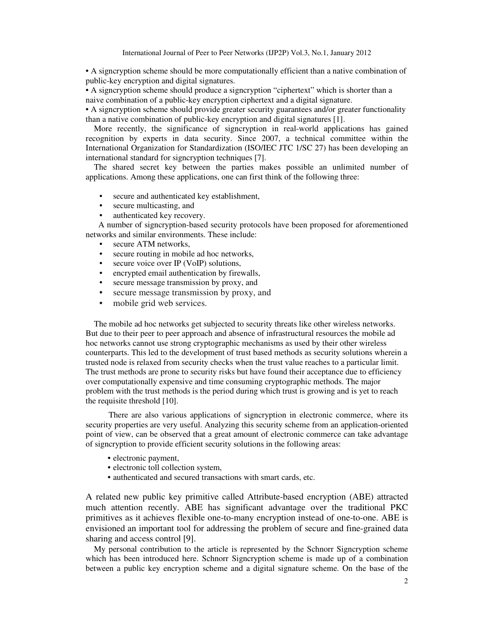• A signcryption scheme should be more computationally efficient than a native combination of public-key encryption and digital signatures.

• A signcryption scheme should produce a signcryption "ciphertext" which is shorter than a naive combination of a public-key encryption ciphertext and a digital signature.

• A signcryption scheme should provide greater security guarantees and/or greater functionality than a native combination of public-key encryption and digital signatures [1].

More recently, the significance of signcryption in real-world applications has gained recognition by experts in data security. Since 2007, a technical committee within the International Organization for Standardization (ISO/IEC JTC 1/SC 27) has been developing an international standard for signcryption techniques [7].

The shared secret key between the parties makes possible an unlimited number of applications. Among these applications, one can first think of the following three:

- secure and authenticated key establishment,
- secure multicasting, and
- authenticated key recovery.

 A number of signcryption-based security protocols have been proposed for aforementioned networks and similar environments. These include:

- secure ATM networks.
- secure routing in mobile ad hoc networks,
- secure voice over IP (VoIP) solutions,
- encrypted email authentication by firewalls,
- secure message transmission by proxy, and
- secure message transmission by proxy, and
- mobile grid web services.

The mobile ad hoc networks get subjected to security threats like other wireless networks. But due to their peer to peer approach and absence of infrastructural resources the mobile ad hoc networks cannot use strong cryptographic mechanisms as used by their other wireless counterparts. This led to the development of trust based methods as security solutions wherein a trusted node is relaxed from security checks when the trust value reaches to a particular limit. The trust methods are prone to security risks but have found their acceptance due to efficiency over computationally expensive and time consuming cryptographic methods. The major problem with the trust methods is the period during which trust is growing and is yet to reach the requisite threshold [10].

 There are also various applications of signcryption in electronic commerce, where its security properties are very useful. Analyzing this security scheme from an application-oriented point of view, can be observed that a great amount of electronic commerce can take advantage of signcryption to provide efficient security solutions in the following areas:

- electronic payment,
- electronic toll collection system,
- authenticated and secured transactions with smart cards, etc.

A related new public key primitive called Attribute-based encryption (ABE) attracted much attention recently. ABE has significant advantage over the traditional PKC primitives as it achieves flexible one-to-many encryption instead of one-to-one. ABE is envisioned an important tool for addressing the problem of secure and fine-grained data sharing and access control [9].

My personal contribution to the article is represented by the Schnorr Signcryption scheme which has been introduced here. Schnorr Signcryption scheme is made up of a combination between a public key encryption scheme and a digital signature scheme. On the base of the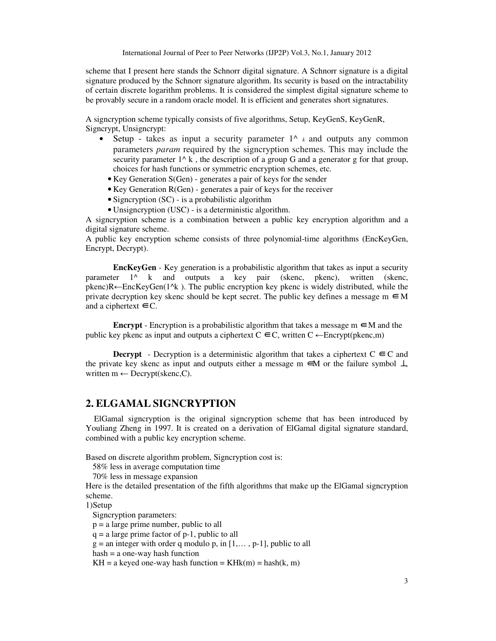scheme that I present here stands the Schnorr digital signature. A Schnorr signature is a digital signature produced by the Schnorr signature algorithm. Its security is based on the intractability of certain discrete logarithm problems. It is considered the simplest digital signature scheme to be provably secure in a random oracle model. It is efficient and generates short signatures.

A signcryption scheme typically consists of five algorithms, Setup, KeyGenS, KeyGenR, Signcrypt, Unsigncrypt:

- Setup takes as input a security parameter  $1^{\wedge}$  *k* and outputs any common parameters *param* required by the signcryption schemes. This may include the security parameter  $1^k k$ , the description of a group G and a generator g for that group, choices for hash functions or symmetric encryption schemes, etc.
	- Key Generation S(Gen) generates a pair of keys for the sender
	- Key Generation R(Gen) generates a pair of keys for the receiver
	- Signcryption (SC) is a probabilistic algorithm
	- Unsigncryption (USC) is a deterministic algorithm.

A signcryption scheme is a combination between a public key encryption algorithm and a digital signature scheme.

A public key encryption scheme consists of three polynomial-time algorithms (EncKeyGen, Encrypt, Decrypt).

**EncKeyGen** - Key generation is a probabilistic algorithm that takes as input a security parameter 1^ k and outputs a key pair (skenc, pkenc), written (skenc, pkenc)R←EncKeyGen(1^k ). The public encryption key pkenc is widely distributed, while the private decryption key skenc should be kept secret. The public key defines a message  $m \in M$ and a ciphertext  $\in$  C.

**Encrypt** - Encryption is a probabilistic algorithm that takes a message  $m \in M$  and the public key pkenc as input and outputs a ciphertext  $C \n∈ C$ , written  $C \leftarrow \text{Encryption}(\text{pkenc},m)$ 

**Decrypt** - Decryption is a deterministic algorithm that takes a ciphertext  $C \n\in C$  and the private key skenc as input and outputs either a message m  $\epsilon$ M or the failure symbol  $\perp$ written  $m \leftarrow$  Decrypt(skenc, C).

### **2. ELGAMAL SIGNCRYPTION**

ElGamal signcryption is the original signcryption scheme that has been introduced by Youliang Zheng in 1997. It is created on a derivation of ElGamal digital signature standard, combined with a public key encryption scheme.

Based on discrete algorithm problem, Signcryption cost is:

58% less in average computation time

70% less in message expansion

Here is the detailed presentation of the fifth algorithms that make up the ElGamal signcryption scheme.

1)Setup

Signcryption parameters:

p = a large prime number, public to all

 $q = a$  large prime factor of p-1, public to all

 $g =$  an integer with order q modulo p, in  $[1, \ldots, p-1]$ , public to all

 $hash = a$  one-way hash function

 $KH = a$  keyed one-way hash function =  $KHk(m) = \text{hash}(k, m)$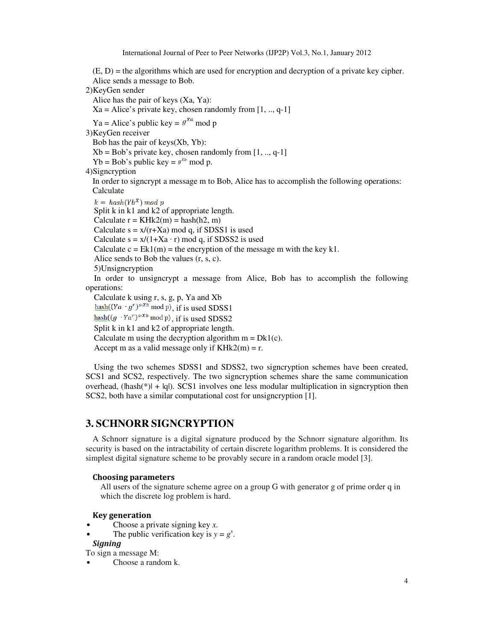$(E, D)$  = the algorithms which are used for encryption and decryption of a private key cipher. Alice sends a message to Bob.

2)KeyGen sender

Alice has the pair of keys (Xa, Ya):

 $Xa = Alice's private key, chosen randomly from [1, ..., q-1]$ 

Ya = Alice's public key =  $g^{xa}$  mod p

3)KeyGen receiver

Bob has the pair of keys(Xb, Yb):

 $Xb = Bob's private key, chosen randomly from [1, ..., q-1]$ 

Yb = Bob's public key =  $g^{xb}$  mod p.

4)Signcryption

In order to signcrypt a message m to Bob, Alice has to accomplish the following operations: Calculate

 $k = hash(Yb^X) \mod p$ Split k in k1 and k2 of appropriate length. Calculate  $r = KHk2(m) = hash(h2, m)$ Calculate  $s = x/(r+Xa) \text{ mod } q$ , if SDSS1 is used Calculate  $s = x/(1+Xa \cdot r) \mod q$ , if SDSS2 is used Calculate  $c = Ek1(m)$  = the encryption of the message m with the key k1. Alice sends to Bob the values (r, s, c). 5)Unsigncryption In order to unsigncrypt a message from Alice, Bob has to accomplish the following operations: Calculate k using r, s, g, p, Ya and Xb hash( $(Ya \cdot g^r)^{s \cdot Xb}$  mod p), if is used SDSS1 hash( $(g \cdot Ya^r)^{s \cdot Xb} \mod p$ ), if is used SDSS2 Split k in k1 and k2 of appropriate length. Calculate m using the decryption algorithm  $m = Dk1(c)$ . Accept m as a valid message only if  $KHk2(m) = r$ .

Using the two schemes SDSS1 and SDSS2, two signcryption schemes have been created, SCS1 and SCS2, respectively. The two signcryption schemes share the same communication overhead, ( $\lfloor \frac{m}{k} \rfloor + \lfloor q \rfloor$ ). SCS1 involves one less modular multiplication in signcryption then SCS2, both have a similar computational cost for unsigncryption [1].

# **3. SCHNORR SIGNCRYPTION**

A Schnorr signature is a digital signature produced by the Schnorr signature algorithm. Its security is based on the intractability of certain discrete logarithm problems. It is considered the simplest digital signature scheme to be provably secure in a random oracle model [3].

#### Choosing parameters

All users of the signature scheme agree on a group G with generator g of prime order q in which the discrete log problem is hard.

#### Key generation

- Choose a private signing key *x*.
- The public verification key is  $y = g^x$ .
- Signing

To sign a message M:

• Choose a random k.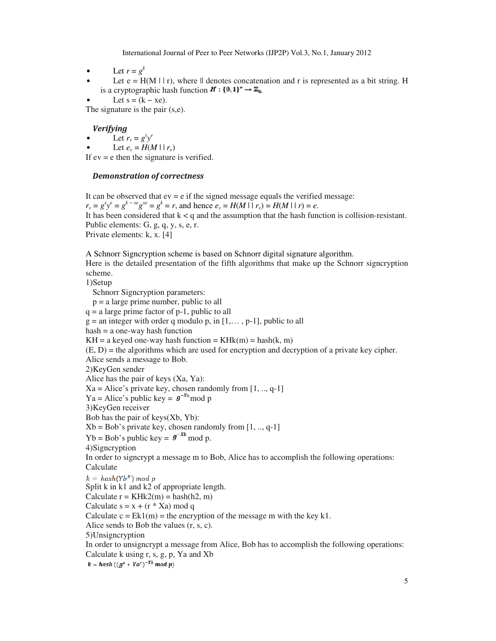- Let  $r = g^k$
- Let  $e = H(M \mid r)$ , where  $\parallel$  denotes concatenation and r is represented as a bit string. H is a cryptographic hash function  $H: \{0,1\}^* \to \mathbb{Z}_q$ .

Let  $s = (k - xe)$ .

The signature is the pair  $(s,e)$ .

### Verifying

- Let  $r_v = g^s y^e$
- Let  $e_v = H(M \mid r_v)$

If  $ev = e$  then the signature is verified.

### Demonstration of correctness

It can be observed that  $ev = e$  if the signed message equals the verified message:  $r_v = g^s y^e = g^{k-xe} g^{xe} = g^k = r$ , and hence  $e_v = H(M \mid r_v) = H(M \mid r) = e$ . It has been considered that  $k < q$  and the assumption that the hash function is collision-resistant. Public elements: G, g, q, y, s, e, r. Private elements: k, x. [4]

A Schnorr Signcryption scheme is based on Schnorr digital signature algorithm.

Here is the detailed presentation of the fifth algorithms that make up the Schnorr signcryption scheme.

1)Setup

Schnorr Signcryption parameters: p = a large prime number, public to all  $q = a$  large prime factor of p-1, public to all  $g =$  an integer with order q modulo p, in  $[1, \ldots, p-1]$ , public to all hash = a one-way hash function  $KH = a$  keyed one-way hash function =  $KHk(m) = hash(k, m)$  $(E, D)$  = the algorithms which are used for encryption and decryption of a private key cipher. Alice sends a message to Bob. 2)KeyGen sender Alice has the pair of keys (Xa, Ya):  $Xa = Alice's private key, chosen randomly from [1, ..., q-1]$ Ya = Alice's public key =  $g^{-xa}$  mod p 3)KeyGen receiver Bob has the pair of keys(Xb, Yb):  $Xb = Bob's private key, chosen randomly from  $[1, ..., q-1]$$  $Yb = Bob's public key = g^{-xb} \mod p$ . 4)Signcryption In order to signcrypt a message m to Bob, Alice has to accomplish the following operations: Calculate  $k = hash(Yb^X) \mod p$ Split k in k1 and k2 of appropriate length. Calculate  $r = KHk2(m) = hash(h2, m)$ Calculate  $s = x + (r * Xa) \text{ mod } q$ Calculate  $c = Ek1(m)$  = the encryption of the message m with the key k1. Alice sends to Bob the values (r, s, c). 5)Unsigncryption In order to unsigncrypt a message from Alice, Bob has to accomplish the following operations: Calculate k using r, s, g, p, Ya and Xb  $k = hash((g<sup>s</sup> * Ya<sup>r</sup>)<sup>-Xb</sup> mod p)$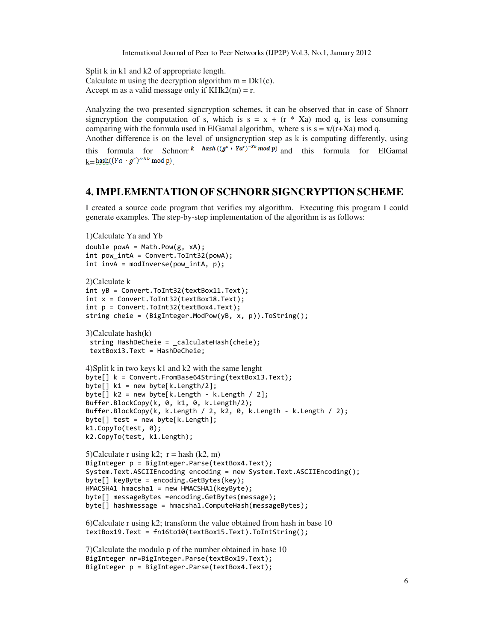Split k in k1 and k2 of appropriate length. Calculate m using the decryption algorithm  $m = Dk1(c)$ . Accept m as a valid message only if  $KHk2(m) = r$ .

Analyzing the two presented signcryption schemes, it can be observed that in case of Shnorr signcryption the computation of s, which is  $s = x + (r * Xa) \mod q$ , is less consuming comparing with the formula used in ElGamal algorithm, where s is  $s = x/(r+Xa) \mod q$ .

Another difference is on the level of unsigncryption step as k is computing differently, using this formula for Schnorr  $k = hash((g^s * Ya^r)^{-xb} \mod p)$  and this formula for ElGamal  $k = \text{hash}((Ya \cdot g^r)^{s \cdot Xb} \text{ mod } p)$ 

# **4. IMPLEMENTATION OF SCHNORR SIGNCRYPTION SCHEME**

I created a source code program that verifies my algorithm. Executing this program I could generate examples. The step-by-step implementation of the algorithm is as follows:

```
1)Calculate Ya and Yb 
double powA = Math.Pow(g, xA);int pow intA = Convert.ToInt32(powA);
int invA = modInverse(pow_intA, p); 
2)Calculate k 
int yB = Convert.ToInt32(textBox11.Text); 
int x = Convert.Jolnt32(textBox18.Text);int p = Convert.ToInt32(textBox4.Text); 
string cheie = (BigInteger.ModPow(yB, x, p)).ToString(); 
3)Calculate hash(k) 
  string HashDeCheie = _calculateHash(cheie); 
  textBox13.Text = HashDeCheie; 
4)Split k in two keys k1 and k2 with the same lenght 
byte[] k = Convert.FromBase64String(textBox13.Text); 
byte[] k1 = new byte[k.length/2];
byte[] k2 = new byte[k.Length - k.Length / 2]; 
Buffer.BlockCopy(k, 0, k1, 0, k.Length/2); 
Buffer.BlockCopy(k, k.Length / 2, k2, 0, k.Length - k.Length / 2); 
byte[] test = new byte[k.length];
k1.CopyTo(test, 0); 
k2.CopyTo(test, k1.Length); 
5)Calculate r using k2; r = hash (k2, m)
BigInteger p = BigInteger.Parse(textBox4.Text); 
System.Text.ASCIIEncoding encoding = new System.Text.ASCIIEncoding(); 
byte[] keyByte = encoding.GetBytes(key); 
HMACSHA1 hmacsha1 = new HMACSHA1(keyByte); 
byte[] messageBytes =encoding.GetBytes(message); 
byte[] hashmessage = hmacsha1.ComputeHash(messageBytes); 
6)Calculate r using k2; transform the value obtained from hash in base 10 
textBox19.Text = fn16to10(textBox15.Text).ToIntString(); 
7)Calculate the modulo p of the number obtained in base 10 
BigInteger nr=BigInteger.Parse(textBox19.Text); 
BigInteger p = BigInteger.Parse(textBox4.Text);
```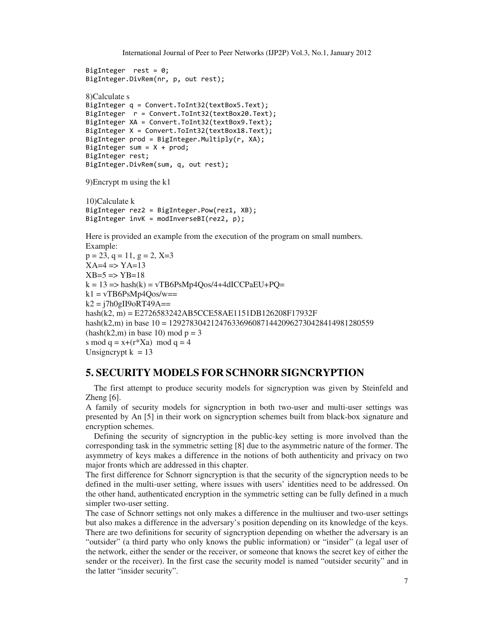```
BigInteger rest = 0; 
BigInteger.DivRem(nr, p, out rest); 
8)Calculate s 
BigInteger q = Convert.ToInt32(textBox5.Text); 
BigInteger r = Convert.ToInt32(textBox20.Text); 
BigInteger XA = Convert.ToInt32(textBox9.Text); 
BigInteger X = Convert.ToInt32(textBox18.Text); 
BigInteger prod = BigInteger.Multiply(r, XA); 
BigInteger sum = X + prod;BigInteger rest; 
BigInteger.DivRem(sum, q, out rest); 
9)Encrypt m using the k1 
10)Calculate k 
BigInteger rez2 = BigInteger.Pow(rez1, XB); 
BigInteger invK = modInverseBI(rez2, p); 
Here is provided an example from the execution of the program on small numbers. 
Example: 
p = 23, q = 11, q = 2, X=3XA=4 \Rightarrow YA=13XB = 5 \implies YB = 18k = 13 \implies \text{hash}(k) = \text{vT}\text{B}6\text{Ps}\text{M}p4\text{Oos}/4+4\text{dIC}\text{C}PaEU+PO=k1 = vTB6PsMp4Qos/w ==k2 = j7h0gIJ9oRT49A ==hash(k2, m) = E2726583242AB5CCE58AE1151DB126208F17932F 
hash(k2,m) in base 10 = 1292783042124763369608714420962730428414981280559 
(hash(k2,m) in base 10) mod p = 3s mod q = x + (r^*Xa) \mod q = 4
```

```
Unsigncrypt k = 13
```
# **5. SECURITY MODELS FOR SCHNORR SIGNCRYPTION**

The first attempt to produce security models for signcryption was given by Steinfeld and Zheng  $[6]$ .

A family of security models for signcryption in both two-user and multi-user settings was presented by An [5] in their work on signcryption schemes built from black-box signature and encryption schemes.

Defining the security of signcryption in the public-key setting is more involved than the corresponding task in the symmetric setting [8] due to the asymmetric nature of the former. The asymmetry of keys makes a difference in the notions of both authenticity and privacy on two major fronts which are addressed in this chapter.

The first difference for Schnorr signcryption is that the security of the signcryption needs to be defined in the multi-user setting, where issues with users' identities need to be addressed. On the other hand, authenticated encryption in the symmetric setting can be fully defined in a much simpler two-user setting.

The case of Schnorr settings not only makes a difference in the multiuser and two-user settings but also makes a difference in the adversary's position depending on its knowledge of the keys. There are two definitions for security of signcryption depending on whether the adversary is an "outsider" (a third party who only knows the public information) or "insider" (a legal user of the network, either the sender or the receiver, or someone that knows the secret key of either the sender or the receiver). In the first case the security model is named "outsider security" and in the latter "insider security".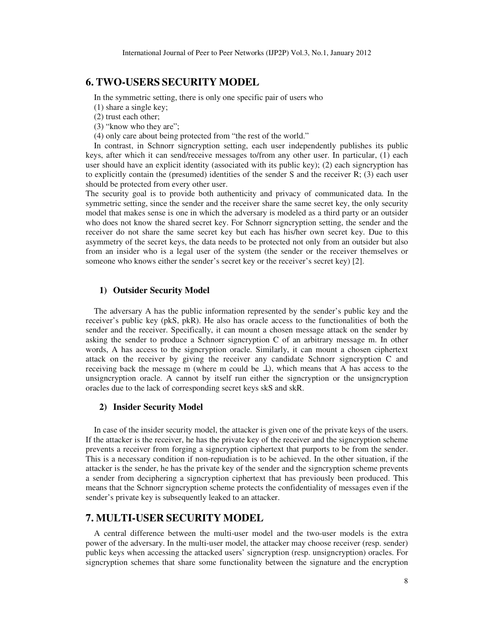### **6. TWO-USERS SECURITY MODEL**

In the symmetric setting, there is only one specific pair of users who

- (1) share a single key;
- (2) trust each other;
- (3) "know who they are";
- (4) only care about being protected from "the rest of the world."

In contrast, in Schnorr signcryption setting, each user independently publishes its public keys, after which it can send/receive messages to/from any other user. In particular, (1) each user should have an explicit identity (associated with its public key); (2) each signcryption has to explicitly contain the (presumed) identities of the sender S and the receiver  $R$ ; (3) each user should be protected from every other user.

The security goal is to provide both authenticity and privacy of communicated data. In the symmetric setting, since the sender and the receiver share the same secret key, the only security model that makes sense is one in which the adversary is modeled as a third party or an outsider who does not know the shared secret key. For Schnorr signcryption setting, the sender and the receiver do not share the same secret key but each has his/her own secret key. Due to this asymmetry of the secret keys, the data needs to be protected not only from an outsider but also from an insider who is a legal user of the system (the sender or the receiver themselves or someone who knows either the sender's secret key or the receiver's secret key) [2].

### **1) Outsider Security Model**

The adversary A has the public information represented by the sender's public key and the receiver's public key (pkS, pkR). He also has oracle access to the functionalities of both the sender and the receiver. Specifically, it can mount a chosen message attack on the sender by asking the sender to produce a Schnorr signcryption C of an arbitrary message m. In other words, A has access to the signcryption oracle. Similarly, it can mount a chosen ciphertext attack on the receiver by giving the receiver any candidate Schnorr signcryption C and receiving back the message m (where m could be  $\perp$ ), which means that A has access to the unsigncryption oracle. A cannot by itself run either the signcryption or the unsigncryption oracles due to the lack of corresponding secret keys skS and skR.

### **2) Insider Security Model**

In case of the insider security model, the attacker is given one of the private keys of the users. If the attacker is the receiver, he has the private key of the receiver and the signcryption scheme prevents a receiver from forging a signcryption ciphertext that purports to be from the sender. This is a necessary condition if non-repudiation is to be achieved. In the other situation, if the attacker is the sender, he has the private key of the sender and the signcryption scheme prevents a sender from deciphering a signcryption ciphertext that has previously been produced. This means that the Schnorr signcryption scheme protects the confidentiality of messages even if the sender's private key is subsequently leaked to an attacker.

## **7. MULTI-USER SECURITY MODEL**

A central difference between the multi-user model and the two-user models is the extra power of the adversary. In the multi-user model, the attacker may choose receiver (resp. sender) public keys when accessing the attacked users' signcryption (resp. unsigncryption) oracles. For signcryption schemes that share some functionality between the signature and the encryption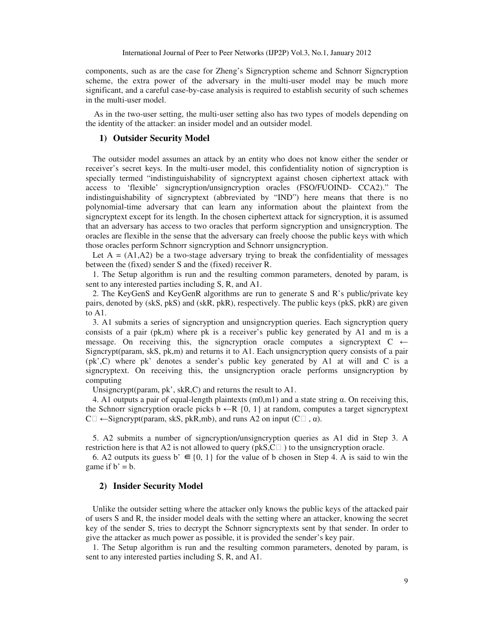components, such as are the case for Zheng's Signcryption scheme and Schnorr Signcryption scheme, the extra power of the adversary in the multi-user model may be much more significant, and a careful case-by-case analysis is required to establish security of such schemes in the multi-user model.

As in the two-user setting, the multi-user setting also has two types of models depending on the identity of the attacker: an insider model and an outsider model.

### **1) Outsider Security Model**

The outsider model assumes an attack by an entity who does not know either the sender or receiver's secret keys. In the multi-user model, this confidentiality notion of signcryption is specially termed "indistinguishability of signcryptext against chosen ciphertext attack with access to 'flexible' signcryption/unsigncryption oracles (FSO/FUOIND- CCA2)." The indistinguishability of signcryptext (abbreviated by "IND") here means that there is no polynomial-time adversary that can learn any information about the plaintext from the signcryptext except for its length. In the chosen ciphertext attack for signcryption, it is assumed that an adversary has access to two oracles that perform signcryption and unsigncryption. The oracles are flexible in the sense that the adversary can freely choose the public keys with which those oracles perform Schnorr signcryption and Schnorr unsigncryption.

Let  $A = (A1, A2)$  be a two-stage adversary trying to break the confidentiality of messages between the (fixed) sender S and the (fixed) receiver R.

1. The Setup algorithm is run and the resulting common parameters, denoted by param, is sent to any interested parties including S, R, and A1.

2. The KeyGenS and KeyGenR algorithms are run to generate S and R's public/private key pairs, denoted by (skS, pkS) and (skR, pkR), respectively. The public keys (pkS, pkR) are given to A1.

3. A1 submits a series of signcryption and unsigncryption queries. Each signcryption query consists of a pair (pk,m) where pk is a receiver's public key generated by A1 and m is a message. On receiving this, the signcryption oracle computes a signcryptext  $C \leftarrow$ Signcrypt(param, skS, pk,m) and returns it to A1. Each unsigncryption query consists of a pair (pk',C) where pk' denotes a sender's public key generated by A1 at will and C is a signcryptext. On receiving this, the unsigncryption oracle performs unsigncryption by computing

Unsigncrypt(param, pk', skR,C) and returns the result to A1.

4. A1 outputs a pair of equal-length plaintexts  $(m0,m1)$  and a state string  $\alpha$ . On receiving this, the Schnorr signcryption oracle picks  $b \leftarrow R \{0, 1\}$  at random, computes a target signcryptext  $C \Box \leftarrow$  Signcrypt(param, skS, pkR,mb), and runs A2 on input (C $\Box$ ,  $\alpha$ ).

5. A2 submits a number of signcryption/unsigncryption queries as A1 did in Step 3. A restriction here is that A2 is not allowed to query (pkS, $C \Box$ ) to the unsigncryption oracle.

6. A2 outputs its guess b'  $\in$  {0, 1} for the value of b chosen in Step 4. A is said to win the game if  $b' = b$ .

### **2) Insider Security Model**

Unlike the outsider setting where the attacker only knows the public keys of the attacked pair of users S and R, the insider model deals with the setting where an attacker, knowing the secret key of the sender S, tries to decrypt the Schnorr signcryptexts sent by that sender. In order to give the attacker as much power as possible, it is provided the sender's key pair.

1. The Setup algorithm is run and the resulting common parameters, denoted by param, is sent to any interested parties including S, R, and A1.